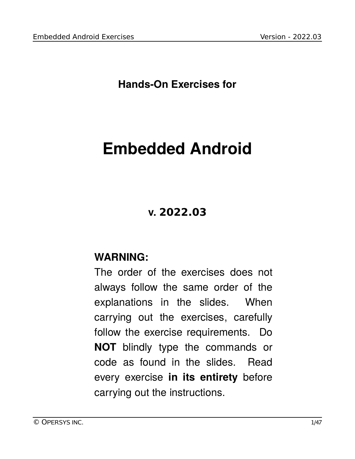**Hands-On Exercises for**

# **Embedded Android**

# **v. 2022.03**

### **WARNING:**

The order of the exercises does not always follow the same order of the explanations in the slides. When carrying out the exercises, carefully follow the exercise requirements. Do **NOT** blindly type the commands or code as found in the slides. Read every exercise **in its entirety** before carrying out the instructions.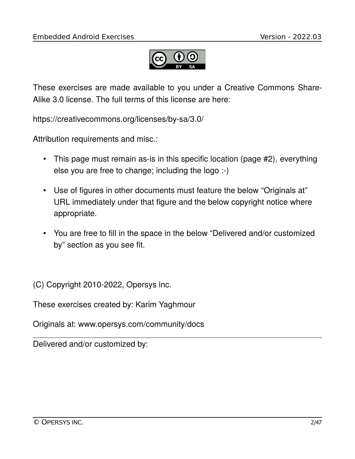

These exercises are made available to you under a Creative Commons Share-Alike 3.0 license. The full terms of this license are here:

https://creativecommons.org/licenses/by-sa/3.0/

Attribution requirements and misc.:

- This page must remain as-is in this specific location (page #2), everything else you are free to change; including the logo :-)
- Use of figures in other documents must feature the below "Originals at" URL immediately under that figure and the below copyright notice where appropriate.
- You are free to fill in the space in the below "Delivered and/or customized by" section as you see fit.

(C) Copyright 2010-2022, Opersys inc.

These exercises created by: Karim Yaghmour

Originals at: www.opersys.com/community/docs

Delivered and/or customized by: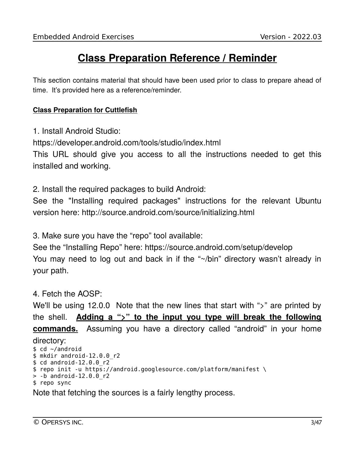# **Class Preparation Reference / Reminder**

This section contains material that should have been used prior to class to prepare ahead of time. It's provided here as a reference/reminder.

#### **Class Preparation for Cuttlefish**

1. Install Android Studio:

https://developer.android.com/tools/studio/index.html

This URL should give you access to all the instructions needed to get this installed and working.

2. Install the required packages to build Android:

See the "Installing required packages" instructions for the relevant Ubuntu version here: http://source.android.com/source/initializing.html

3. Make sure you have the "repo" tool available:

See the "Installing Repo" here: https://source.android.com/setup/develop You may need to log out and back in if the "~/bin" directory wasn't already in your path.

### 4. Fetch the AOSP:

We'll be using 12.0.0 Note that the new lines that start with ">" are printed by the shell. **Adding a ">" to the input you type will break the following commands.** Assuming you have a directory called "android" in your home directory: \$ cd ~/android \$ mkdir android-12.0.0\_r2 \$ cd android-12.0.0\_r2 \$ repo init -u https://android.googlesource.com/platform/manifest \ > -b android-12.0.0\_r2

```
$ repo sync
```
Note that fetching the sources is a fairly lengthy process.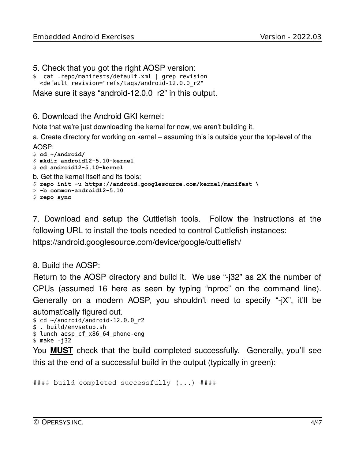- 5. Check that you got the right AOSP version:
- \$ cat .repo/manifests/default.xml | grep revision <default revision="refs/tags/android-12.0.0\_r2"
- Make sure it says "android-12.0.0\_r2" in this output.

#### 6. Download the Android GKI kernel:

Note that we're just downloading the kernel for now, we aren't building it.

a. Create directory for working on kernel – assuming this is outside your the top-level of the AOSP:

```
$ cd ~/android/
$ mkdir android12-5.10-kernel
$ cd android12-5.10-kernel
b. Get the kernel itself and its tools:
$ repo init -u https://android.googlesource.com/kernel/manifest \
> -b common-android12-5.10
$ repo sync
```
7. Download and setup the Cuttlefish tools. Follow the instructions at the following URL to install the tools needed to control Cuttlefish instances: https://android.googlesource.com/device/google/cuttlefish/

#### 8. Build the AOSP:

Return to the AOSP directory and build it. We use "-j32" as 2X the number of CPUs (assumed 16 here as seen by typing "nproc" on the command line). Generally on a modern AOSP, you shouldn't need to specify "-jX", it'll be automatically figured out.

```
$ cd ~/android/android-12.0.0 r2
$ . build/envsetup.sh
$ lunch aosp_cf_x86_64_phone-eng
$ make -j32
```
You **MUST** check that the build completed successfully. Generally, you'll see this at the end of a successful build in the output (typically in green):

```
#### build completed successfully (...) ####
```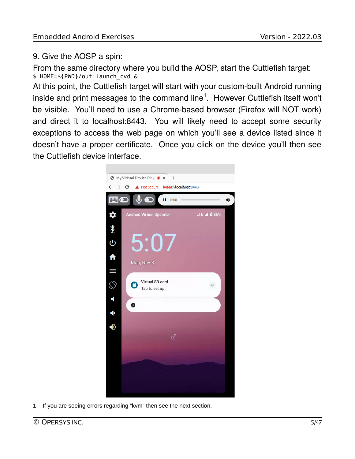### 9. Give the AOSP a spin:

From the same directory where you build the AOSP, start the Cuttlefish target: \$ HOME=\${PWD}/out launch\_cvd &

At this point, the Cuttlefish target will start with your custom-built Android running inside and print messages to the command line<sup>[1](#page-4-0)</sup>. However Cuttlefish itself won't be visible. You'll need to use a Chrome-based browser (Firefox will NOT work) and direct it to localhost:8443. You will likely need to accept some security exceptions to access the web page on which you'll see a device listed since it doesn't have a proper certificate. Once you click on the device you'll then see the Cuttlefish device interface.



<span id="page-4-0"></span>1 If you are seeing errors regarding "kvm" then see the next section.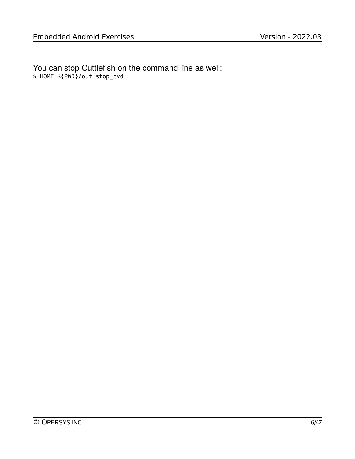You can stop Cuttlefish on the command line as well: \$ HOME=\${PWD}/out stop\_cvd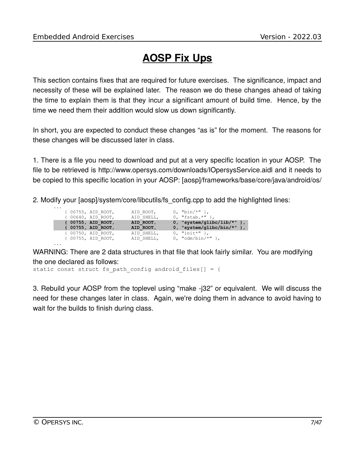# **AOSP Fix Ups**

This section contains fixes that are required for future exercises. The significance, impact and necessity of these will be explained later. The reason we do these changes ahead of taking the time to explain them is that they incur a significant amount of build time. Hence, by the time we need them their addition would slow us down significantly.

In short, you are expected to conduct these changes "as is" for the moment. The reasons for these changes will be discussed later in class.

1. There is a file you need to download and put at a very specific location in your AOSP. The file to be retrieved is http://www.opersys.com/downloads/IOpersysService.aidl and it needs to be copied to this specific location in your AOSP: [aosp]/frameworks/base/core/java/android/os/

2. Modify your [aosp]/system/core/libcutils/fs\_config.cpp to add the highlighted lines:

|  | { 00755, AID ROOT,<br>{ 00640, AID ROOT, | AID ROOT,<br>AID SHELL,  | 0, " $bin/*"$ },<br>$0, "fstab.*"$ |
|--|------------------------------------------|--------------------------|------------------------------------|
|  | { 00755, AID ROOT,                       | AID ROOT,                | $0$ , "system/qlibc/lib/*" },      |
|  | { 00755, AID ROOT,                       | AID ROOT,                | $0$ , "system/qlibc/bin/*" },      |
|  | { 00750, AID ROOT,<br>{ 00755, AID ROOT, | AID SHELL,<br>AID SHELL, | 0, "init*" },<br>0, "odm/bin/*" }, |

WARNING: There are 2 data structures in that file that look fairly similar. You are modifying the one declared as follows:

static const struct fs\_path\_config android\_files[] = {

3. Rebuild your AOSP from the toplevel using "make -j32" or equivalent. We will discuss the need for these changes later in class. Again, we're doing them in advance to avoid having to wait for the builds to finish during class.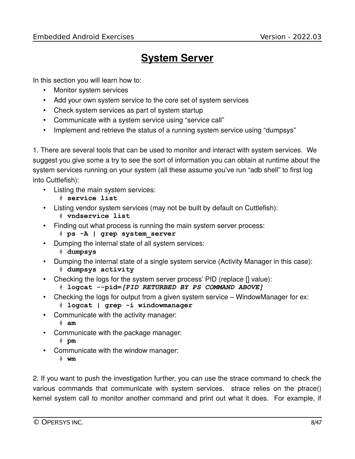### **System Server**

In this section you will learn how to:

- Monitor system services
- Add your own system service to the core set of system services
- Check system services as part of system startup
- Communicate with a system service using "service call"
- Implement and retrieve the status of a running system service using "dumpsys"

1. There are several tools that can be used to monitor and interact with system services. We suggest you give some a try to see the sort of information you can obtain at runtime about the system services running on your system (all these assume you've run "adb shell" to first log into Cuttlefish):

- Listing the main system services:
	- # **service list**
- Listing vendor system services (may not be built by default on Cuttlefish):
	- # **vndservice list**
- Finding out what process is running the main system server process:
	- # **ps -A | grep system\_server**
- Dumping the internal state of all system services:
	- # **dumpsys**
- Dumping the internal state of a single system service (Activity Manager in this case): # **dumpsys activity**
- Checking the logs for the system server process' PID (replace [] value):
	- # **logcat --pid=***[PID RETURBED BY PS COMMAND ABOVE]*
- Checking the logs for output from a given system service WindowManager for ex: # **logcat** *|* **grep -i windowmanager**
- Communicate with the activity manager: # **am**
- Communicate with the package manager:
	- # **pm**
- Communicate with the window manager:
	- # **wm**

2. If you want to push the investigation further, you can use the strace command to check the various commands that communicate with system services. strace relies on the ptrace() kernel system call to monitor another command and print out what it does. For example, if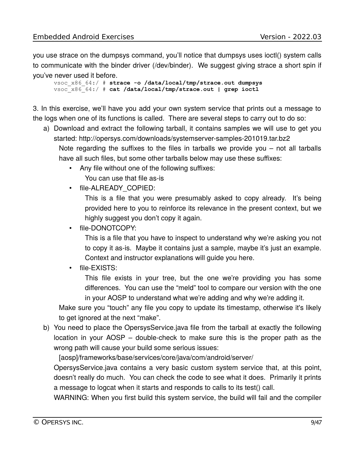you use strace on the dumpsys command, you'll notice that dumpsys uses ioctl() system calls to communicate with the binder driver (/dev/binder). We suggest giving strace a short spin if you've never used it before.

vsoc\_x86\_64:/ # **strace -o /data/local/tmp/strace.out dumpsys** vsoc\_x86\_64:/ # **cat /data/local/tmp/strace.out | grep ioctl**

3. In this exercise, we'll have you add your own system service that prints out a message to the logs when one of its functions is called. There are several steps to carry out to do so:

a) Download and extract the following tarball, it contains samples we will use to get you started: http://opersys.com/downloads/systemserver-samples-201019.tar.bz2

Note regarding the suffixes to the files in tarballs we provide you – not all tarballs have all such files, but some other tarballs below may use these suffixes:

- Any file without one of the following suffixes: You can use that file as-is
- file-ALREADY COPIED:

This is a file that you were presumably asked to copy already. It's being provided here to you to reinforce its relevance in the present context, but we highly suggest you don't copy it again.

• file-DONOTCOPY:

This is a file that you have to inspect to understand why we're asking you not to copy it as-is. Maybe it contains just a sample, maybe it's just an example. Context and instructor explanations will guide you here.

• file-EXISTS:

This file exists in your tree, but the one we're providing you has some differences. You can use the "meld" tool to compare our version with the one in your AOSP to understand what we're adding and why we're adding it.

Make sure you "touch" any file you copy to update its timestamp, otherwise it's likely to get ignored at the next "make".

b) You need to place the OpersysService.java file from the tarball at exactly the following location in your AOSP – double-check to make sure this is the proper path as the wrong path will cause your build some serious issues:

[aosp]/frameworks/base/services/core/java/com/android/server/

OpersysService.java contains a very basic custom system service that, at this point, doesn't really do much. You can check the code to see what it does. Primarily it prints a message to logcat when it starts and responds to calls to its test() call.

WARNING: When you first build this system service, the build will fail and the compiler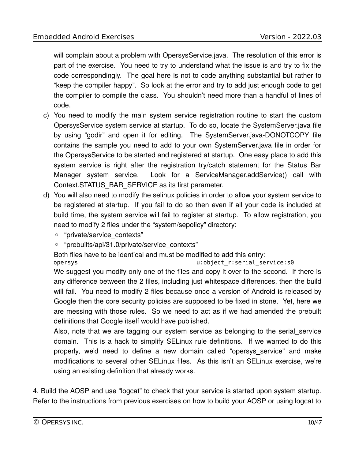will complain about a problem with OpersysService.java. The resolution of this error is part of the exercise. You need to try to understand what the issue is and try to fix the code correspondingly. The goal here is not to code anything substantial but rather to "keep the compiler happy". So look at the error and try to add just enough code to get the compiler to compile the class. You shouldn't need more than a handful of lines of code.

- c) You need to modify the main system service registration routine to start the custom OpersysService system service at startup. To do so, locate the SystemServer.java file by using "godir" and open it for editing. The SystemServer.java-DONOTCOPY file contains the sample you need to add to your own SystemServer.java file in order for the OpersysService to be started and registered at startup. One easy place to add this system service is right after the registration try/catch statement for the Status Bar Manager system service. Look for a ServiceManager.addService() call with Context.STATUS\_BAR\_SERVICE as its first parameter.
- d) You will also need to modify the selinux policies in order to allow your system service to be registered at startup. If you fail to do so then even if all your code is included at build time, the system service will fail to register at startup. To allow registration, you need to modify 2 files under the "system/sepolicy" directory:
	- "private/service\_contexts"
	- "prebuilts/api/31.0/private/service\_contexts"

Both files have to be identical and must be modified to add this entry:

opersys u:object r:serial service:s0

We suggest you modify only one of the files and copy it over to the second. If there is any difference between the 2 files, including just whitespace differences, then the build will fail. You need to modify 2 files because once a version of Android is released by Google then the core security policies are supposed to be fixed in stone. Yet, here we are messing with those rules. So we need to act as if we had amended the prebuilt definitions that Google itself would have published.

Also, note that we are tagging our system service as belonging to the serial\_service domain. This is a hack to simplify SELinux rule definitions. If we wanted to do this properly, we'd need to define a new domain called "opersys\_service" and make modifications to several other SELinux files. As this isn't an SELinux exercise, we're using an existing definition that already works.

4. Build the AOSP and use "logcat" to check that your service is started upon system startup. Refer to the instructions from previous exercises on how to build your AOSP or using logcat to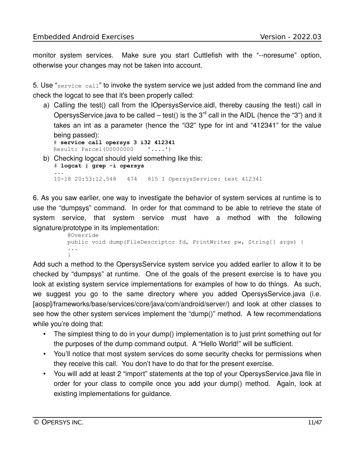monitor system services. Make sure you start Cuttlefish with the "--noresume" option, otherwise your changes may not be taken into account.

5. Use "service call" to invoke the system service we just added from the command line and check the logcat to see that it's been properly called:

a) Calling the test() call from the IOpersysService.aidl, thereby causing the test() call in OpersysService.java to be called – test() is the  $3<sup>rd</sup>$  call in the AIDL (hence the "3") and it takes an int as a parameter (hence the "i32" type for int and "412341" for the value being passed):

# **service call opersys 3 i32 412341** Result: Parcel(00000000 '....')

b) Checking logcat should yield something like this:

# **logcat | grep -i opersys** ... 10-18 20:53:12.548 474 815 I OpersysService: test 412341

6. As you saw earlier, one way to investigate the behavior of system services at runtime is to use the "dumpsys" command. In order for that command to be able to retrieve the state of system service, that system service must have a method with the following signature/prototype in its implementation:

```
 @Override
    public void dump(FileDescriptor fd, PrintWriter pw, String[] args) {
 ...
 }
```
Add such a method to the OpersysService system service you added earlier to allow it to be checked by "dumpsys" at runtime. One of the goals of the present exercise is to have you look at existing system service implementations for examples of how to do things. As such, we suggest you go to the same directory where you added OpersysService.java (i.e. [aosp]/frameworks/base/services/core/java/com/android/server/) and look at other classes to see how the other system services implement the "dump()" method. A few recommendations while you're doing that:

- The simplest thing to do in your dump() implementation is to just print something out for the purposes of the dump command output. A "Hello World!" will be sufficient.
- You'll notice that most system services do some security checks for permissions when they receive this call. You don't have to do that for the present exercise.
- You will add at least 2 "import" statements at the top of your OpersysService.java file in order for your class to compile once you add your dump() method. Again, look at existing implementations for guidance.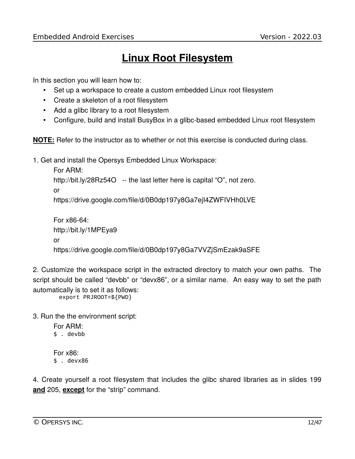# **Linux Root Filesystem**

In this section you will learn how to:

- Set up a workspace to create a custom embedded Linux root filesystem
- Create a skeleton of a root filesystem
- Add a glibc library to a root filesystem
- Configure, build and install BusyBox in a glibc-based embedded Linux root filesystem

**NOTE:** Refer to the instructor as to whether or not this exercise is conducted during class.

1. Get and install the Opersys Embedded Linux Workspace:

```
For ARM:
```
http://bit.ly/28Rz54O -- the last letter here is capital "O", not zero.

```
or
```
https://drive.google.com/file/d/0B0dp197y8Ga7ejI4ZWFIVHh0LVE

```
For x86-64:
http://bit.ly/1MPEya9
or
https://drive.google.com/file/d/0B0dp197y8Ga7VVZjSmEzak9aSFE
```
2. Customize the workspace script in the extracted directory to match your own paths. The script should be called "devbb" or "devx86", or a similar name. An easy way to set the path automatically is to set it as follows:

export PRJROOT=\${PWD}

3. Run the the environment script:

For ARM: \$ . devbb For x86: \$ . devx86

4. Create yourself a root filesystem that includes the glibc shared libraries as in slides 199 **and** 205, **except** for the "strip" command.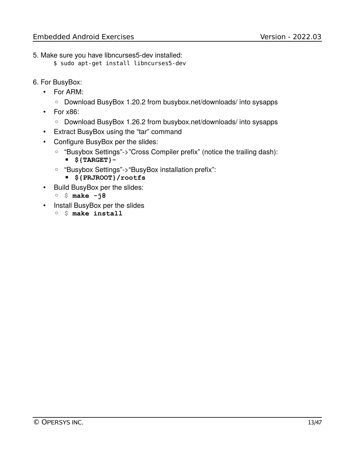- 5. Make sure you have libncurses5-dev installed:
	- \$ sudo apt-get install libncurses5-dev
- 6. For BusyBox:
	- For ARM:
		- Download BusyBox 1.20.2 from busybox.net/downloads/ into sysapps
	- For x86:
		- Download BusyBox 1.26.2 from busybox.net/downloads/ into sysapps
	- Extract BusyBox using the "tar" command
	- Configure BusyBox per the slides:
		- "Busybox Settings"->"Cross Compiler prefix" (notice the trailing dash): ▪ **\${TARGET}-**
		- "Busybox Settings"->"BusyBox installation prefix":
			- **\${PRJROOT}/rootfs**
	- Build BusyBox per the slides:
		- \$ **make -j8**
	- Install BusyBox per the slides
		- \$ **make install**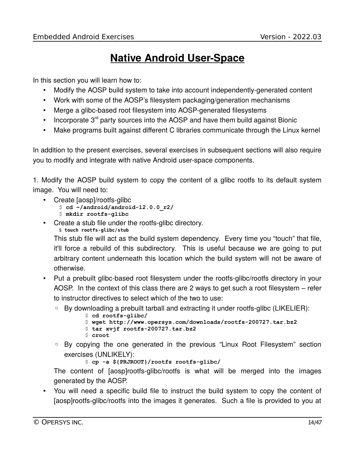# **Native Android User-Space**

In this section you will learn how to:

- Modify the AOSP build system to take into account independently-generated content
- Work with some of the AOSP's filesystem packaging/generation mechanisms
- Merge a glibc-based root filesystem into AOSP-generated filesystems
- Incorporate  $3<sup>rd</sup>$  party sources into the AOSP and have them build against Bionic
- Make programs built against different C libraries communicate through the Linux kernel

In addition to the present exercises, several exercises in subsequent sections will also require you to modify and integrate with native Android user-space components.

1. Modify the AOSP build system to copy the content of a glibc rootfs to its default system image. You will need to:

- Create [aosp]/rootfs-glibc
	- \$ **cd ~/android/android-12.0.0\_r2/**
	- \$ **mkdir rootfs-glibc**
- Create a stub file under the rootfs-glibc directory. \$ **touch rootfs-glibc/stub**

This stub file will act as the build system dependency. Every time you "touch" that file, it'll force a rebuild of this subdirectory. This is useful because we are going to put arbitrary content underneath this location which the build system will not be aware of otherwise.

- Put a prebuilt glibc-based root filesystem under the rootfs-glibc/rootfs directory in your AOSP. In the context of this class there are 2 ways to get such a root filesystem – refer to instructor directives to select which of the two to use:
	- By downloading a prebuilt tarball and extracting it under rootfs-glibc (LIKELIER):
		- \$ **cd rootfs-glibc/**
		- \$ **wget http://www.opersys.com/downloads/rootfs-200727.tar.bz2**
		- \$ **tar xvjf rootfs-200727.tar.bz2**
		- \$ **croot**
	- By copying the one generated in the previous "Linux Root Filesystem" section exercises (UNLIKELY):
		- \$ **cp -a \${PRJROOT}/rootfs rootfs-glibc/**

The content of [aosp]rootfs-glibc/rootfs is what will be merged into the images generated by the AOSP.

• You will need a specific build file to instruct the build system to copy the content of [aosp]rootfs-glibc/rootfs into the images it generates. Such a file is provided to you at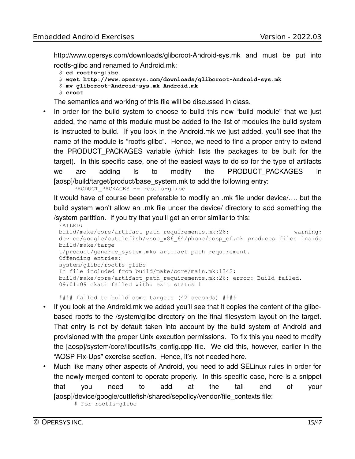http://www.opersys.com/downloads/glibcroot-Android-sys.mk and must be put into rootfs-glibc and renamed to Android.mk:

```
$ cd rootfs-glibc
```

```
$ wget http://www.opersys.com/downloads/glibcroot-Android-sys.mk
```
- \$ **mv glibcroot-Android-sys.mk Android.mk**
- \$ **croot**

The semantics and working of this file will be discussed in class.

• In order for the build system to choose to build this new "build module" that we just added, the name of this module must be added to the list of modules the build system is instructed to build. If you look in the Android.mk we just added, you'll see that the name of the module is "rootfs-glibc". Hence, we need to find a proper entry to extend the PRODUCT\_PACKAGES variable (which lists the packages to be built for the target). In this specific case, one of the easiest ways to do so for the type of artifacts we are adding is to modify the PRODUCT\_PACKAGES in [aosp]/build/target/product/base\_system.mk to add the following entry:

PRODUCT PACKAGES += rootfs-glibc

It would have of course been preferable to modify an .mk file under device/…. but the build system won't allow an .mk file under the device/ directory to add something the /system partition. If you try that you'll get an error similar to this:

```
FAILED: 
build/make/core/artifact_path_requirements.mk:26: warning:
device/google/cuttlefish/vsoc_x86_64/phone/aosp_cf.mk produces files inside
build/make/targe
t/product/generic system.mks artifact path requirement.
Offending entries:
system/glibc/rootfs-glibc
In file included from build/make/core/main.mk:1342:
build/make/core/artifact_path_requirements.mk:26: error: Build failed.
09:01:09 ckati failed with: exit status 1
```
#### failed to build some targets (42 seconds) ####

- If you look at the Android.mk we added you'll see that it copies the content of the glibcbased rootfs to the /system/glibc directory on the final filesystem layout on the target. That entry is not by default taken into account by the build system of Android and provisioned with the proper Unix execution permissions. To fix this you need to modify the [aosp]/system/core/libcutils/fs\_config.cpp file. We did this, however, earlier in the "AOSP Fix-Ups" exercise section. Hence, it's not needed here.
- Much like many other aspects of Android, you need to add SELinux rules in order for the newly-merged content to operate properly. In this specific case, here is a snippet that you need to add at the tail end of your [aosp]/device/google/cuttlefish/shared/sepolicy/vendor/file\_contexts file: # For rootfs-glibc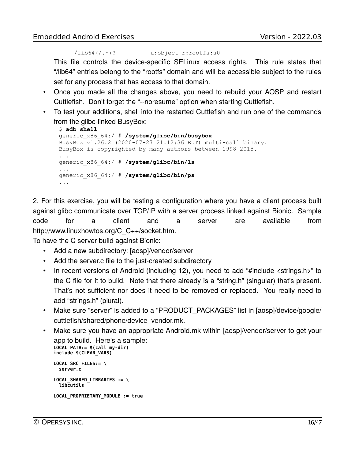```
/lib64(/.*)? u:object r:rootfs:s0
```
This file controls the device-specific SELinux access rights. This rule states that "/lib64" entries belong to the "rootfs" domain and will be accessible subject to the rules set for any process that has access to that domain.

- Once you made all the changes above, you need to rebuild your AOSP and restart Cuttlefish. Don't forget the "--noresume" option when starting Cuttlefish.
- To test your additions, shell into the restarted Cuttlefish and run one of the commands from the glibc-linked BusyBox:

```
$ adb shell
generic_x86_64:/ # /system/glibc/bin/busybox
BusyBox v1.26.2 (2020-07-27 21:12:36 EDT) multi-call binary.
BusyBox is copyrighted by many authors between 1998-2015.
...
generic_x86_64:/ # /system/glibc/bin/ls
...
generic_x86_64:/ # /system/glibc/bin/ps
...
```
2. For this exercise, you will be testing a configuration where you have a client process built against glibc communicate over TCP/IP with a server process linked against Bionic. Sample code for a client and a server are available from http://www.linuxhowtos.org/C\_C++/socket.htm.

To have the C server build against Bionic:

- Add a new subdirectory: [aosp]/vendor/server
- Add the server.c file to the just-created subdirectory
- In recent versions of Android (including 12), you need to add "#include <strings.h>" to the C file for it to build. Note that there already is a "string.h" (singular) that's present. That's not sufficient nor does it need to be removed or replaced. You really need to add "strings.h" (plural).
- Make sure "server" is added to a "PRODUCT PACKAGES" list in [aosp]/device/google/ cuttlefish/shared/phone/device\_vendor.mk.
- Make sure you have an appropriate Android.mk within [aosp]/vendor/server to get your app to build. Here's a sample: **LOCAL\_PATH:= \$(call my-dir) include \$(CLEAR\_VARS)**

```
LOCAL_SRC_FILES:= \
 server.c
LOCAL_SHARED_LIBRARIES := \
 libcutils
LOCAL_PROPRIETARY_MODULE := true
```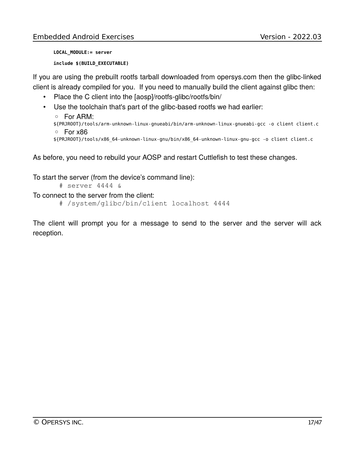```
LOCAL_MODULE:= server
include $(BUILD_EXECUTABLE)
```
If you are using the prebuilt rootfs tarball downloaded from opersys.com then the glibc-linked client is already compiled for you. If you need to manually build the client against glibc then:

- Place the C client into the [aosp]/rootfs-glibc/rootfs/bin/
- Use the toolchain that's part of the glibc-based rootfs we had earlier:

```
◦ For ARM:
${PRJROOT}/tools/arm-unknown-linux-gnueabi/bin/arm-unknown-linux-gnueabi-gcc -o client client.c 
◦ For x86
${PRJROOT}/tools/x86_64-unknown-linux-gnu/bin/x86_64-unknown-linux-gnu-gcc -o client client.c
```
As before, you need to rebuild your AOSP and restart Cuttlefish to test these changes.

To start the server (from the device's command line):

# server 4444 &

To connect to the server from the client:

```
# /system/glibc/bin/client localhost 4444
```
The client will prompt you for a message to send to the server and the server will ack reception.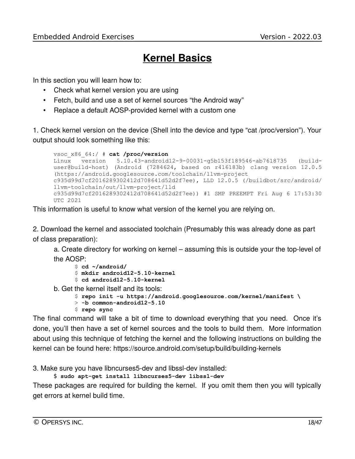## **Kernel Basics**

In this section you will learn how to:

- Check what kernel version you are using
- Fetch, build and use a set of kernel sources "the Android way"
- Replace a default AOSP-provided kernel with a custom one

1. Check kernel version on the device (Shell into the device and type "cat /proc/version"). Your output should look something like this:

```
vsoc_x86_64:/ # cat /proc/version
Linux version 5.10.43-android12-9-00031-g5b153f189546-ab7618735 (build-
user@build-host) (Android (7284624, based on r416183b) clang version 12.0.5
(https://android.googlesource.com/toolchain/llvm-project
c935d99d7cf2016289302412d708641d52d2f7ee), LLD 12.0.5 (/buildbot/src/android/
llvm-toolchain/out/llvm-project/lld
c935d99d7cf2016289302412d708641d52d2f7ee)) #1 SMP PREEMPT Fri Aug 6 17:53:30
UTC 2021
```
This information is useful to know what version of the kernel you are relying on.

2. Download the kernel and associated toolchain (Presumably this was already done as part of class preparation):

a. Create directory for working on kernel – assuming this is outside your the top-level of the AOSP:

```
$ cd ~/android/
$ mkdir android12-5.10-kernel
```
- \$ **cd android12-5.10-kernel**
- b. Get the kernel itself and its tools:

```
$ repo init -u https://android.googlesource.com/kernel/manifest \
```
- > **-b common-android12-5.10**
- \$ **repo sync**

The final command will take a bit of time to download everything that you need. Once it's done, you'll then have a set of kernel sources and the tools to build them. More information about using this technique of fetching the kernel and the following instructions on building the kernel can be found here: https://source.android.com/setup/build/building-kernels

3. Make sure you have libncurses5-dev and libssl-dev installed:

\$ **sudo apt-get install libncurses5-dev libssl-dev**

These packages are required for building the kernel. If you omit them then you will typically get errors at kernel build time.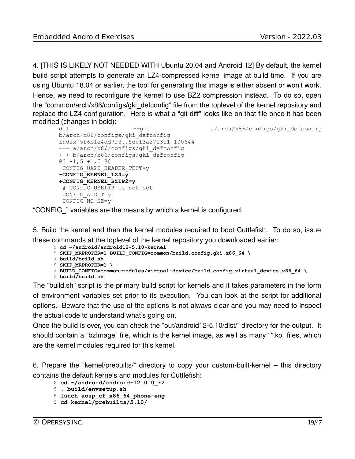4. [THIS IS LIKELY NOT NEEDED WITH Ubuntu 20.04 and Android 12] By default, the kernel build script attempts to generate an LZ4-compressed kernel image at build time. If you are using Ubuntu 18.04 or earlier, the tool for generating this image is either absent or won't work. Hence, we need to reconfigure the kernel to use BZ2 compression instead. To do so, open the "common/arch/x86/configs/gki\_defconfig" file from the toplevel of the kernel repository and replace the LZ4 configuration. Here is what a "git diff" looks like on that file once it has been modified (changes in bold):

```
diff --git --git a/arch/x86/configs/gki_defconfig
b/arch/x86/configs/gki_defconfig
index 5f6b1e4dd7f3..5ec13a27f3f1 100644
--- a/arch/x86/configs/gki defconfig
+++ b/arch/x86/configs/gki_defconfig
@@ -1,5 +1,5 @@
CONFIG UAPI HEADER TEST=y
-CONFIG_KERNEL_LZ4=y
+CONFIG_KERNEL_BZIP2=y
 # CONFIG USELIB is not set
  CONFIG_AUDIT=y
  CONFIG_NO_HZ=y
```
"CONFIG\_" variables are the means by which a kernel is configured.

5. Build the kernel and then the kernel modules required to boot Cuttlefish. To do so, issue these commands at the toplevel of the kernel repository you downloaded earlier:

\$ **cd ~/android/android12-5.10-kernel**

```
$ SKIP_MRPROPER=1 BUILD_CONFIG=common/build.config.gki.x86_64 \
```
- > **build/build.sh**
- \$ **SKIP\_MRPROPER=1 \**
- $>$  BUILD CONFIG=common-modules/virtual-device/build.config.virtual device.x86 64  $\backslash$
- > **build/build.sh**

The "build.sh" script is the primary build script for kernels and it takes parameters in the form of environment variables set prior to its execution. You can look at the script for additional options. Beware that the use of the options is not always clear and you may need to inspect the actual code to understand what's going on.

Once the build is over, you can check the "out/android12-5.10/dist/" directory for the output. It should contain a "bzImage" file, which is the kernel image, as well as many "\*.ko" files, which are the kernel modules required for this kernel.

6. Prepare the "kernel/prebuilts/" directory to copy your custom-built-kernel – this directory contains the default kernels and modules for Cuttlefish:

\$ **cd ~/android/android-12.0.0\_r2**

```
$ . build/envsetup.sh
```

```
$ lunch aosp_cf_x86_64_phone-eng
```

```
$ cd kernel/prebuilts/5.10/
```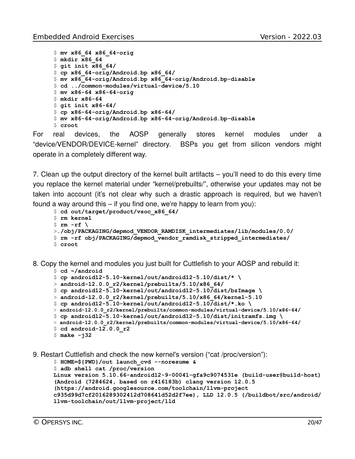```
$ mv x86_64 x86_64-orig
$ mkdir x86_64
$ git init x86_64/
$ cp x86_64-orig/Android.bp x86_64/
$ mv x86_64-orig/Android.bp x86_64-orig/Android.bp-disable
$ cd ../common-modules/virtual-device/5.10
$ mv x86-64 x86-64-orig
$ mkdir x86-64
$ git init x86-64/
$ cp x86-64-orig/Android.bp x86-64/
$ mv x86-64-orig/Android.bp x86-64-orig/Android.bp-disable
$ croot
```
For real devices, the AOSP generally stores kernel modules under a "device/VENDOR/DEVICE-kernel" directory. BSPs you get from silicon vendors might operate in a completely different way.

7. Clean up the output directory of the kernel built artifacts – you'll need to do this every time you replace the kernel material under "kernel/prebuilts/", otherwise your updates may not be taken into account (it's not clear why such a drastic approach is required, but we haven't found a way around this – if you find one, we're happy to learn from you):

```
$ cd out/target/product/vsoc_x86_64/
$ rm kernel
$ fm -rf \>./obj/PACKAGING/depmod_VENDOR_RAMDISK_intermediates/lib/modules/0.0/
$ rm -rf obj/PACKAGING/depmod_vendor_ramdisk_stripped_intermediates/
$ croot
```
8. Copy the kernel and modules you just built for Cuttlefish to your AOSP and rebuild it:

```
$ cd ~/android
```

```
$ cp android12-5.10-kernel/out/android12-5.10/dist/* \
```

```
> android-12.0.0_r2/kernel/prebuilts/5.10/x86_64/
```

```
$ cp android12-5.10-kernel/out/android12-5.10/dist/bzImage \
```

```
> android-12.0.0_r2/kernel/prebuilts/5.10/x86_64/kernel-5.10
```

```
\frac{1}{2} cp android12-5.10-kernel/out/android12-5.10/dist/*.ko \
```

```
> android-12.0.0_r2/kernel/prebuilts/common-modules/virtual-device/5.10/x86-64/
```

```
$ cp android12-5.10-kernel/out/android12-5.10/dist/initramfs.img \
```

```
> android-12.0.0_r2/kernel/prebuilts/common-modules/virtual-device/5.10/x86-64/
```

```
$ cd android-12.0.0_r2
```

```
$ make -j32
```

```
9. Restart Cuttlefish and check the new kernel's version ("cat /proc/version"):
```

```
$ HOME=${PWD}/out launch_cvd --noresume &
```

```
$ adb shell cat /proc/version
Linux version 5.10.66-android12-9-00041-gfa9c9074531e (build-user@build-host)
(Android (7284624, based on r416183b) clang version 12.0.5 
(https://android.googlesource.com/toolchain/llvm-project 
c935d99d7cf2016289302412d708641d52d2f7ee), LLD 12.0.5 (/buildbot/src/android/
llvm-toolchain/out/llvm-project/lld
```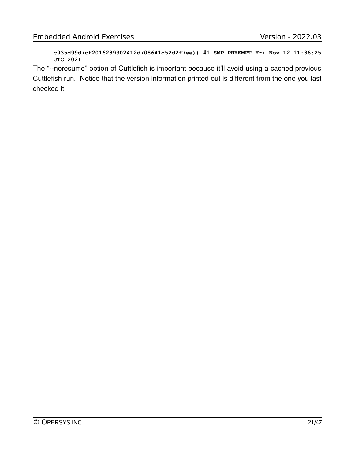**c935d99d7cf2016289302412d708641d52d2f7ee)) #1 SMP PREEMPT Fri Nov 12 11:36:25 UTC 2021**

The "--noresume" option of Cuttlefish is important because it'll avoid using a cached previous Cuttlefish run. Notice that the version information printed out is different from the one you last checked it.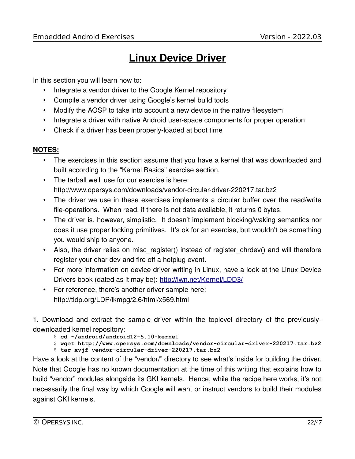# **Linux Device Driver**

In this section you will learn how to:

- Integrate a vendor driver to the Google Kernel repository
- Compile a vendor driver using Google's kernel build tools
- Modify the AOSP to take into account a new device in the native filesystem
- Integrate a driver with native Android user-space components for proper operation
- Check if a driver has been properly-loaded at boot time

#### **NOTES:**

- The exercises in this section assume that you have a kernel that was downloaded and built according to the "Kernel Basics" exercise section.
- The tarball we'll use for our exercise is here: http://www.opersys.com/downloads/vendor-circular-driver-220217.tar.bz2
- The driver we use in these exercises implements a circular buffer over the read/write file-operations. When read, if there is not data available, it returns 0 bytes.
- The driver is, however, simplistic. It doesn't implement blocking/waking semantics nor does it use proper locking primitives. It's ok for an exercise, but wouldn't be something you would ship to anyone.
- Also, the driver relies on misc\_register() instead of register\_chrdev() and will therefore register your char dev and fire off a hotplug event.
- For more information on device driver writing in Linux, have a look at the Linux Device Drivers book (dated as it may be): <http://lwn.net/Kernel/LDD3/>
- For reference, there's another driver sample here: http://tldp.org/LDP/lkmpg/2.6/html/x569.html

1. Download and extract the sample driver within the toplevel directory of the previouslydownloaded kernel repository:

\$ **cd ~/android/android12-5.10-kernel**

\$ **wget http://www.opersys.com/downloads/vendor-circular-driver-220217.tar.bz2** \$ **tar xvjf vendor-circular-driver-220217.tar.bz2**

Have a look at the content of the "vendor/" directory to see what's inside for building the driver. Note that Google has no known documentation at the time of this writing that explains how to build "vendor" modules alongside its GKI kernels. Hence, while the recipe here works, it's not necessarily the final way by which Google will want or instruct vendors to build their modules against GKI kernels.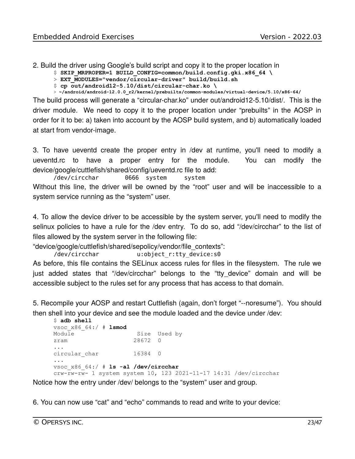2. Build the driver using Google's build script and copy it to the proper location in

\$ **SKIP\_MRPROPER=1 BUILD\_CONFIG=common/build.config.gki.x86\_64 \** 

- > **EXT\_MODULES="vendor/circular-driver" build/build.sh**
- \$ **cp out/android12-5.10/dist/circular-char.ko \**

> **~/android/android-12.0.0\_r2/kernel/prebuilts/common-modules/virtual-device/5.10/x86-64/**

The build process will generate a "circular-char.ko" under out/android12-5.10/dist/. This is the driver module. We need to copy it to the proper location under "prebuilts" in the AOSP in order for it to be: a) taken into account by the AOSP build system, and b) automatically loaded at start from vendor-image.

3. To have ueventd create the proper entry in /dev at runtime, you'll need to modify a ueventd.rc to have a proper entry for the module. You can modify the device/google/cuttlefish/shared/config/ueventd.rc file to add:

/dev/circchar 0666 system system

Without this line, the driver will be owned by the "root" user and will be inaccessible to a system service running as the "system" user.

4. To allow the device driver to be accessible by the system server, you'll need to modify the selinux policies to have a rule for the /dev entry. To do so, add "/dev/circchar" to the list of files allowed by the system server in the following file:

"device/google/cuttlefish/shared/sepolicy/vendor/file\_contexts":

/dev/circchar u:object\_r:tty\_device:s0

As before, this file contains the SELinux access rules for files in the filesystem. The rule we just added states that "/dev/circchar" belongs to the "tty\_device" domain and will be accessible subject to the rules set for any process that has access to that domain.

5. Recompile your AOSP and restart Cuttlefish (again, don't forget "--noresume"). You should then shell into your device and see the module loaded and the device under /dev:

```
$ adb shell
vsoc_x86_64:/ # lsmod
Module Size Used by
zram 28672 0 
... 
circular char 16384 0
...
vsoc_x86_64:/ # ls -al /dev/circchar
crw-rw-rw- 1 system system 10, 123 2021-11-17 14:31 /dev/circchar
```
Notice how the entry under /dev/ belongs to the "system" user and group.

6. You can now use "cat" and "echo" commands to read and write to your device: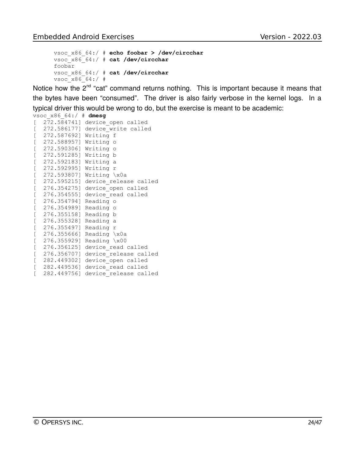```
vsoc_x86_64:/ # echo foobar > /dev/circchar
vsoc_x86_64:/ # cat /dev/circchar
foobar
vsoc_x86_64:/ # cat /dev/circchar
v\sec x86664:/ #
```
Notice how the  $2<sup>nd</sup>$  "cat" command returns nothing. This is important because it means that the bytes have been "consumed". The driver is also fairly verbose in the kernel logs. In a typical driver this would be wrong to do, but the exercise is meant to be academic:

vsoc\_x86\_64:/ # **dmesg**

| E         |                       | 272.584741] device open called    |
|-----------|-----------------------|-----------------------------------|
| [         | 272.5861771           | device write called               |
| L         | 272.587692] Writing f |                                   |
| L         | 272.588957] Writing o |                                   |
| [         | 272.590306] Writing o |                                   |
| [         | 272.591285] Writing b |                                   |
| [         | 272.592183] Writing a |                                   |
| [         | 272.592995] Writing r |                                   |
| $\lbrack$ |                       | 272.593807] Writing \x0a          |
| [         |                       | 272.595215] device release called |
| [         | 276.354275]           | device open called                |
| [         |                       | 276.354555] device read called    |
| [         | 276.3547941           | Reading o                         |
| [         | 276.354989] Reading o |                                   |
| [         | 276.355158] Reading b |                                   |
| E         | 276.355328] Reading a |                                   |
|           | 276.355497] Reading r |                                   |
| L         |                       |                                   |
| [         | 276.3556661           | Reading \x0a                      |
| [         | 276.355929]           | Reading \x00                      |
| [         | 276.3561251           | device read called                |
| [         | 276.3567071           | device release called             |
| L         | 282.449302]           | device open called                |
| E         | 282.4495361           | device read called                |
|           | 282.449756]           | device release called             |
|           |                       |                                   |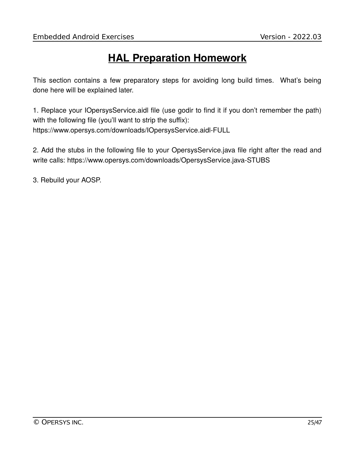# **HAL Preparation Homework**

This section contains a few preparatory steps for avoiding long build times. What's being done here will be explained later.

1. Replace your IOpersysService.aidl file (use godir to find it if you don't remember the path) with the following file (you'll want to strip the suffix): https://www.opersys.com/downloads/IOpersysService.aidl-FULL

2. Add the stubs in the following file to your OpersysService.java file right after the read and write calls: https://www.opersys.com/downloads/OpersysService.java-STUBS

3. Rebuild your AOSP.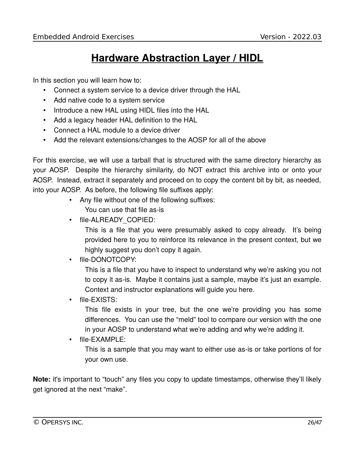### **Hardware Abstraction Layer / HIDL**

In this section you will learn how to:

- Connect a system service to a device driver through the HAL
- Add native code to a system service
- Introduce a new HAL using HIDL files into the HAL
- Add a legacy header HAL definition to the HAL
- Connect a HAL module to a device driver
- Add the relevant extensions/changes to the AOSP for all of the above

For this exercise, we will use a tarball that is structured with the same directory hierarchy as your AOSP. Despite the hierarchy similarity, do NOT extract this archive into or onto your AOSP. Instead, extract it separately and proceed on to copy the content bit by bit, as needed, into your AOSP. As before, the following file suffixes apply:

- Any file without one of the following suffixes: You can use that file as-is
- file-ALREADY COPIED:

This is a file that you were presumably asked to copy already. It's being provided here to you to reinforce its relevance in the present context, but we highly suggest you don't copy it again.

• file-DONOTCOPY:

This is a file that you have to inspect to understand why we're asking you not to copy it as-is. Maybe it contains just a sample, maybe it's just an example. Context and instructor explanations will guide you here.

• file-EXISTS:

This file exists in your tree, but the one we're providing you has some differences. You can use the "meld" tool to compare our version with the one in your AOSP to understand what we're adding and why we're adding it.

• file-EXAMPLE:

This is a sample that you may want to either use as-is or take portions of for your own use.

**Note:** it's important to "touch" any files you copy to update timestamps, otherwise they'll likely get ignored at the next "make".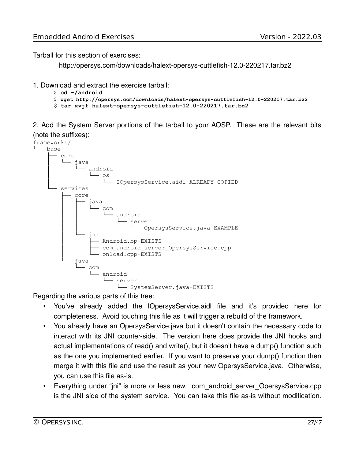Tarball for this section of exercises:

http://opersys.com/downloads/halext-opersys-cuttlefish-12.0-220217.tar.bz2

- 1. Download and extract the exercise tarball:
	- \$ **cd ~/android**
	- \$ **wget http://opersys.com/downloads/halext-opersys-cuttlefish-12.0-220217.tar.bz2**
	- \$ **tar xvjf halext-opersys-cuttlefish-12.0-220217.tar.bz2**

2. Add the System Server portions of the tarball to your AOSP. These are the relevant bits (note the suffixes):



Regarding the various parts of this tree:

- You've already added the IOpersysService.aidl file and it's provided here for completeness. Avoid touching this file as it will trigger a rebuild of the framework.
- You already have an OpersysService.java but it doesn't contain the necessary code to interact with its JNI counter-side. The version here does provide the JNI hooks and actual implementations of read() and write(), but it doesn't have a dump() function such as the one you implemented earlier. If you want to preserve your dump() function then merge it with this file and use the result as your new OpersysService.java. Otherwise, you can use this file as-is.
- Everything under "jni" is more or less new. com android server OpersysService.cpp is the JNI side of the system service. You can take this file as-is without modification.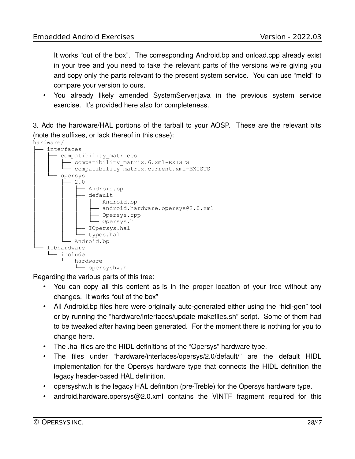It works "out of the box". The corresponding Android.bp and onload.cpp already exist in your tree and you need to take the relevant parts of the versions we're giving you and copy only the parts relevant to the present system service. You can use "meld" to compare your version to ours.

• You already likely amended SystemServer.java in the previous system service exercise. It's provided here also for completeness.

3. Add the hardware/HAL portions of the tarball to your AOSP. These are the relevant bits (note the suffixes, or lack thereof in this case):



Regarding the various parts of this tree:

- You can copy all this content as-is in the proper location of your tree without any changes. It works "out of the box"
- All Android.bp files here were originally auto-generated either using the "hidl-gen" tool or by running the "hardware/interfaces/update-makefiles.sh" script. Some of them had to be tweaked after having been generated. For the moment there is nothing for you to change here.
- The .hal files are the HIDL definitions of the "Opersys" hardware type.
- The files under "hardware/interfaces/opersys/2.0/default/" are the default HIDL implementation for the Opersys hardware type that connects the HIDL definition the legacy header-based HAL definition.
- opersyshw.h is the legacy HAL definition (pre-Treble) for the Opersys hardware type.
- android.hardware.opersys@2.0.xml contains the VINTF fragment required for this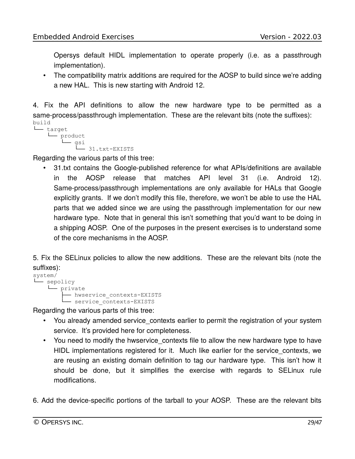Opersys default HIDL implementation to operate properly (i.e. as a passthrough implementation).

• The compatibility matrix additions are required for the AOSP to build since we're adding a new HAL. This is new starting with Android 12.

4. Fix the API definitions to allow the new hardware type to be permitted as a same-process/passthrough implementation. These are the relevant bits (note the suffixes): build

```
└── target
     L<sub>product</sub>
           └── gsi
                  └── 31.txt-EXISTS
```
Regarding the various parts of this tree:

• 31.txt contains the Google-published reference for what APIs/definitions are available in the AOSP release that matches API level 31 (i.e. Android 12). Same-process/passthrough implementations are only available for HALs that Google explicitly grants. If we don't modify this file, therefore, we won't be able to use the HAL parts that we added since we are using the passthrough implementation for our new hardware type. Note that in general this isn't something that you'd want to be doing in a shipping AOSP. One of the purposes in the present exercises is to understand some of the core mechanisms in the AOSP.

5. Fix the SELinux policies to allow the new additions. These are the relevant bits (note the suffixes):

```
system/
└── sepolicy
      └── private
            - hwservice contexts-EXISTS
            -- nwssexes-_-<br>-- service_contexts-EXISTS
```
Regarding the various parts of this tree:

- You already amended service contexts earlier to permit the registration of your system service. It's provided here for completeness.
- You need to modify the hwservice contexts file to allow the new hardware type to have HIDL implementations registered for it. Much like earlier for the service contexts, we are reusing an existing domain definition to tag our hardware type. This isn't how it should be done, but it simplifies the exercise with regards to SELinux rule modifications.
- 6. Add the device-specific portions of the tarball to your AOSP. These are the relevant bits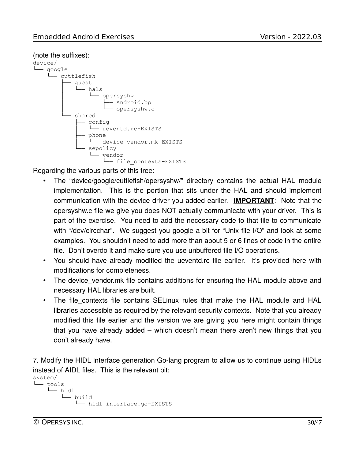#### (note the suffixes):



Regarding the various parts of this tree:

- The "device/google/cuttlefish/opersyshw/" directory contains the actual HAL module implementation. This is the portion that sits under the HAL and should implement communication with the device driver you added earlier. **IMPORTANT**: Note that the opersyshw.c file we give you does NOT actually communicate with your driver. This is part of the exercise. You need to add the necessary code to that file to communicate with "/dev/circchar". We suggest you google a bit for "Unix file I/O" and look at some examples. You shouldn't need to add more than about 5 or 6 lines of code in the entire file. Don't overdo it and make sure you use unbuffered file I/O operations.
- You should have already modified the ueventd.rc file earlier. It's provided here with modifications for completeness.
- The device vendor.mk file contains additions for ensuring the HAL module above and necessary HAL libraries are built.
- The file contexts file contains SELinux rules that make the HAL module and HAL libraries accessible as required by the relevant security contexts. Note that you already modified this file earlier and the version we are giving you here might contain things that you have already added – which doesn't mean there aren't new things that you don't already have.

7. Modify the HIDL interface generation Go-lang program to allow us to continue using HIDLs instead of AIDL files. This is the relevant bit:

```
system/
└── tools
       └── hidl
          └── build
              └── hidl_interface.go-EXISTS
```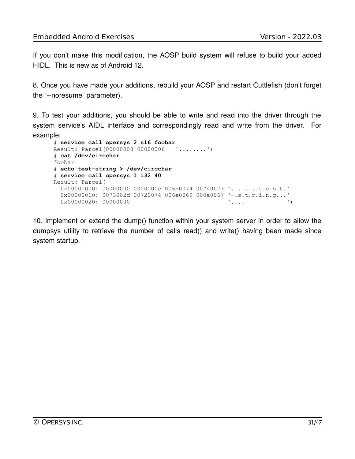If you don't make this modification, the AOSP build system will refuse to build your added HIDL. This is new as of Android 12.

8. Once you have made your additions, rebuild your AOSP and restart Cuttlefish (don't forget the "--noresume" parameter).

9. To test your additions, you should be able to write and read into the driver through the system service's AIDL interface and correspondingly read and write from the driver. For example:

```
# service call opersys 2 s16 foobar
Result: Parcel(00000000 00000006 '........')
# cat /dev/circchar
foobar
# echo test-string > /dev/circchar
# service call opersys 1 i32 40
Result: Parcel(
  0x00000000: 00000000 0000000c 00650074 00740073 '........t.e.s.t.'
  0x00000010: 0073002d 00720074 006e0069 000a0067 '-.s.t.r.i.n.g...'<br>(' 0x00000020: 00000000
  0x00000020: 00000000
```
10. Implement or extend the dump() function within your system server in order to allow the dumpsys utility to retrieve the number of calls read() and write() having been made since system startup.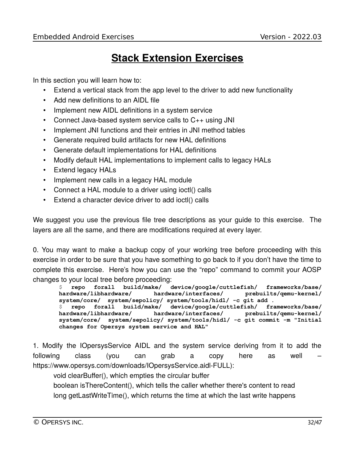# **Stack Extension Exercises**

In this section you will learn how to:

- Extend a vertical stack from the app level to the driver to add new functionality
- Add new definitions to an AIDL file
- Implement new AIDL definitions in a system service
- Connect Java-based system service calls to C++ using JNI
- Implement JNI functions and their entries in JNI method tables
- Generate required build artifacts for new HAL definitions
- Generate default implementations for HAL definitions
- Modify default HAL implementations to implement calls to legacy HALs
- Extend legacy HALs
- Implement new calls in a legacy HAL module
- Connect a HAL module to a driver using ioctl() calls
- Extend a character device driver to add ioctl() calls

We suggest you use the previous file tree descriptions as your guide to this exercise. The layers are all the same, and there are modifications required at every layer.

0. You may want to make a backup copy of your working tree before proceeding with this exercise in order to be sure that you have something to go back to if you don't have the time to complete this exercise. Here's how you can use the "repo" command to commit your AOSP changes to your local tree before proceeding:

\$ **repo forall build/make/ device/google/cuttlefish/ frameworks/base/ hardware/libhardware/ hardware/interfaces/ prebuilts/qemu-kernel/ system/core/ system/sepolicy/ system/tools/hidl/ -c git add .** \$ **repo forall build/make/ device/google/cuttlefish/ frameworks/base/ hardware/libhardware/ hardware/interfaces/ prebuilts/qemu-kernel/ system/core/ system/sepolicy/ system/tools/hidl/ -c git commit -m "Initial changes for Opersys system service and HAL"**

1. Modify the IOpersysService AIDL and the system service deriving from it to add the following class (you can grab a copy here as well – https://www.opersys.com/downloads/IOpersysService.aidl-FULL):

void clearBuffer(), which empties the circular buffer

boolean isThereContent(), which tells the caller whether there's content to read long getLastWriteTime(), which returns the time at which the last write happens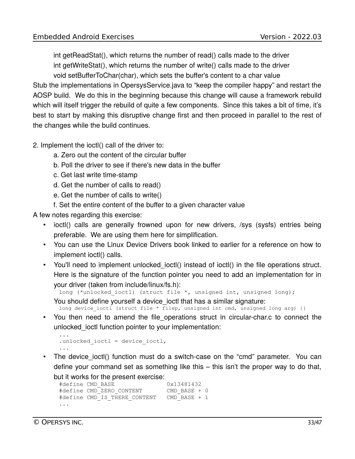int getReadStat(), which returns the number of read() calls made to the driver int getWriteStat(), which returns the number of write() calls made to the driver

void setBufferToChar(char), which sets the buffer's content to a char value Stub the implementations in OpersysService.java to "keep the compiler happy" and restart the AOSP build. We do this in the beginning because this change will cause a framework rebuild which will itself trigger the rebuild of quite a few components. Since this takes a bit of time, it's best to start by making this disruptive change first and then proceed in parallel to the rest of the changes while the build continues.

- 2. Implement the ioctl() call of the driver to:
	- a. Zero out the content of the circular buffer
	- b. Poll the driver to see if there's new data in the buffer
	- c. Get last write time-stamp
	- d. Get the number of calls to read()
	- e. Get the number of calls to write()
	- f. Set the entire content of the buffer to a given character value

A few notes regarding this exercise:

- ioctl() calls are generally frowned upon for new drivers, /sys (sysfs) entries being preferable. We are using them here for simplification.
- You can use the Linux Device Drivers book linked to earlier for a reference on how to implement ioctl() calls.
- You'll need to implement unlocked ioctl() instead of ioctl() in the file operations struct. Here is the signature of the function pointer you need to add an implementation for in your driver (taken from include/linux/fs.h):

```
long (*unlocked ioctl) (struct file *, unsigned int, unsigned long);
```
You should define yourself a device\_ioctl that has a similar signature:

long device\_ioctl (struct file \*  $\overline{f}$ ilep, unsigned int cmd, unsigned long arg) {}

• You then need to amend the file operations struct in circular-char.c to connect the unlocked ioctl function pointer to your implementation:

```
...
.unlocked ioctl = device ioctl,
...
```
• The device ioctl() function must do a switch-case on the "cmd" parameter. You can define your command set as something like this – this isn't the proper way to do that, but it works for the present exercise:

```
#define CMD_BASE 0x13481432
#define CMD_ZERO_CONTENT CMD_BASE + 0
#define CMD IS THERE CONTENT CMD BASE + 1
...
```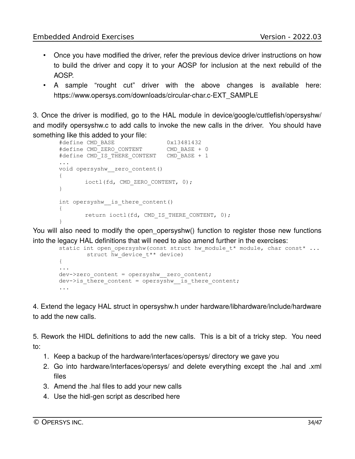- Once you have modified the driver, refer the previous device driver instructions on how to build the driver and copy it to your AOSP for inclusion at the next rebuild of the AOSP.
- A sample "rought cut" driver with the above changes is available here: https://www.opersys.com/downloads/circular-char.c-EXT\_SAMPLE

3. Once the driver is modified, go to the HAL module in device/google/cuttlefish/opersyshw/ and modify opersyshw.c to add calls to invoke the new calls in the driver. You should have something like this added to your file:

```
#define CMD_BASE 0x13481432
#define CMD_ZERO_CONTENT CMD_BASE + 0
#define CMD IS THERE CONTENT CMD BASE + 1
...
void opersyshw__zero_content()
{
       ioctl(fd, CMD_ZERO_CONTENT, 0);
}
int opersyshw is there content()
{
       return ioctl(fd, CMD IS THERE CONTENT, 0);
}
```
You will also need to modify the open\_opersyshw() function to register those new functions into the legacy HAL definitions that will need to also amend further in the exercises:

```
static int open opersyshw (const struct hw module t* module, char const* ...
        struct hw device t^{**} device)
{
...
dev->zero content = opersyshw_zero content;
dev->is there content = opersyshw is there content;
...
```
4. Extend the legacy HAL struct in opersyshw.h under hardware/libhardware/include/hardware to add the new calls.

5. Rework the HIDL definitions to add the new calls. This is a bit of a tricky step. You need to:

- 1. Keep a backup of the hardware/interfaces/opersys/ directory we gave you
- 2. Go into hardware/interfaces/opersys/ and delete everything except the .hal and .xml files
- 3. Amend the .hal files to add your new calls
- 4. Use the hidl-gen script as described here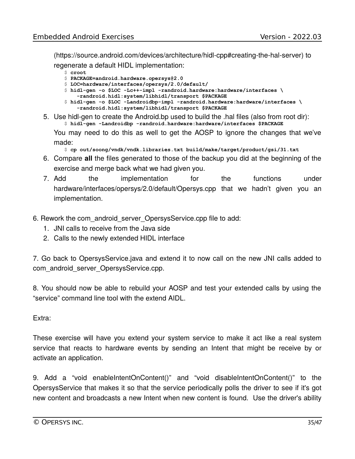(https://source.android.com/devices/architecture/hidl-cpp#creating-the-hal-server) to

regenerate a default HIDL implementation:

- \$ **croot** \$ **PACKAGE=android.hardware.opersys@2.0**
- \$ **LOC=hardware/interfaces/opersys/2.0/default/**
- \$ **hidl-gen -o \$LOC -Lc++-impl -randroid.hardware:hardware/interfaces \**
- **-randroid.hidl:system/libhidl/transport \$PACKAGE**
- \$ **hidl-gen -o \$LOC -Landroidbp-impl -randroid.hardware:hardware/interfaces \ -randroid.hidl:system/libhidl/transport \$PACKAGE**
- 5. Use hidl-gen to create the Android.bp used to build the .hal files (also from root dir): \$ **hidl-gen -Landroidbp -randroid.hardware:hardware/interfaces \$PACKAGE**

You may need to do this as well to get the AOSP to ignore the changes that we've made:

- \$ **cp out/soong/vndk/vndk.libraries.txt build/make/target/product/gsi/31.txt**
- 6. Compare **all** the files generated to those of the backup you did at the beginning of the exercise and merge back what we had given you.
- 7. Add the implementation for the functions under hardware/interfaces/opersys/2.0/default/Opersys.cpp that we hadn't given you an implementation.
- 6. Rework the com\_android\_server\_OpersysService.cpp file to add:
	- 1. JNI calls to receive from the Java side
	- 2. Calls to the newly extended HIDL interface

7. Go back to OpersysService.java and extend it to now call on the new JNI calls added to com android server OpersysService.cpp.

8. You should now be able to rebuild your AOSP and test your extended calls by using the "service" command line tool with the extend AIDL.

#### Extra:

These exercise will have you extend your system service to make it act like a real system service that reacts to hardware events by sending an Intent that might be receive by or activate an application.

9. Add a "void enableIntentOnContent()" and "void disableIntentOnContent()" to the OpersysService that makes it so that the service periodically polls the driver to see if it's got new content and broadcasts a new Intent when new content is found. Use the driver's ability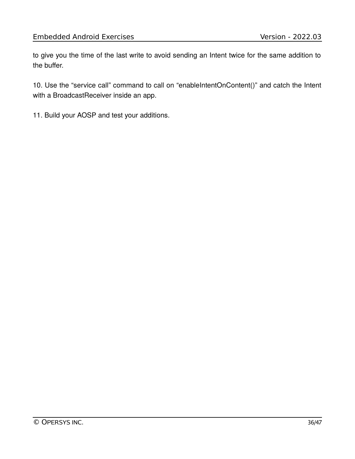to give you the time of the last write to avoid sending an Intent twice for the same addition to the buffer.

10. Use the "service call" command to call on "enableIntentOnContent()" and catch the Intent with a BroadcastReceiver inside an app.

11. Build your AOSP and test your additions.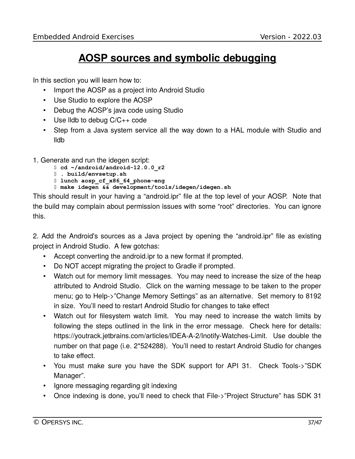### **AOSP sources and symbolic debugging**

In this section you will learn how to:

- Import the AOSP as a project into Android Studio
- Use Studio to explore the AOSP
- Debug the AOSP's java code using Studio
- Use lldb to debug C/C++ code
- Step from a Java system service all the way down to a HAL module with Studio and lldb
- 1. Generate and run the idegen script:
	- \$ **cd ~/android/android-12.0.0\_r2**
	- \$ **. build/envsetup.sh**
	- \$ **lunch aosp\_cf\_x86\_64\_phone-eng**
	- \$ **make idegen && development/tools/idegen/idegen.sh**

This should result in your having a "android.ipr" file at the top level of your AOSP. Note that the build may complain about permission issues with some "root" directories. You can ignore this.

2. Add the Android's sources as a Java project by opening the "android.ipr" file as existing project in Android Studio. A few gotchas:

- Accept converting the android.ipr to a new format if prompted.
- Do NOT accept migrating the project to Gradle if prompted.
- Watch out for memory limit messages. You may need to increase the size of the heap attributed to Android Studio. Click on the warning message to be taken to the proper menu; go to Help->"Change Memory Settings" as an alternative. Set memory to 8192 in size. You'll need to restart Android Studio for changes to take effect
- Watch out for filesystem watch limit. You may need to increase the watch limits by following the steps outlined in the link in the error message. Check here for details: https://youtrack.jetbrains.com/articles/IDEA-A-2/Inotify-Watches-Limit. Use double the number on that page (i.e. 2\*524288). You'll need to restart Android Studio for changes to take effect.
- You must make sure you have the SDK support for API 31. Check Tools->"SDK Manager".
- Ignore messaging regarding git indexing
- Once indexing is done, you'll need to check that File->"Project Structure" has SDK 31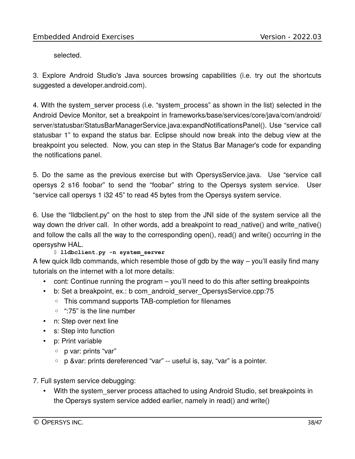selected.

3. Explore Android Studio's Java sources browsing capabilities (i.e. try out the shortcuts suggested a developer.android.com).

4. With the system server process (i.e. "system process" as shown in the list) selected in the Android Device Monitor, set a breakpoint in frameworks/base/services/core/java/com/android/ server/statusbar/StatusBarManagerService.java:expandNotificationsPanel(). Use "service call statusbar 1" to expand the status bar. Eclipse should now break into the debug view at the breakpoint you selected. Now, you can step in the Status Bar Manager's code for expanding the notifications panel.

5. Do the same as the previous exercise but with OpersysService.java. Use "service call opersys 2 s16 foobar" to send the "foobar" string to the Opersys system service. User "service call opersys 1 i32 45" to read 45 bytes from the Opersys system service.

6. Use the "lldbclient.py" on the host to step from the JNI side of the system service all the way down the driver call. In other words, add a breakpoint to read native() and write native() and follow the calls all the way to the corresponding open(), read() and write() occurring in the opersyshw HAL.

#### \$ **lldbclient.py -n system\_server**

A few quick lldb commands, which resemble those of gdb by the way – you'll easily find many tutorials on the internet with a lot more details:

- cont: Continue running the program you'll need to do this after setting breakpoints
- b: Set a breakpoint, ex.: b com android server OpersysService.cpp:75
	- This command supports TAB-completion for filenames
	- ":75" is the line number
- n: Step over next line
- s: Step into function
- p: Print variable
	- p var: prints "var"
	- p &var: prints dereferenced "var" -- useful is, say, "var" is a pointer.
- 7. Full system service debugging:
	- With the system server process attached to using Android Studio, set breakpoints in the Opersys system service added earlier, namely in read() and write()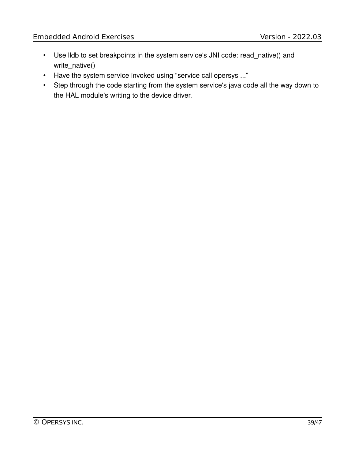- Use lldb to set breakpoints in the system service's JNI code: read\_native() and write\_native()
- Have the system service invoked using "service call opersys ..."
- Step through the code starting from the system service's java code all the way down to the HAL module's writing to the device driver.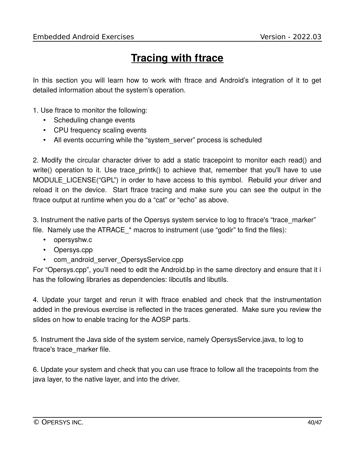# **Tracing with ftrace**

In this section you will learn how to work with ftrace and Android's integration of it to get detailed information about the system's operation.

1. Use ftrace to monitor the following:

- Scheduling change events
- CPU frequency scaling events
- All events occurring while the "system server" process is scheduled

2. Modify the circular character driver to add a static tracepoint to monitor each read() and write() operation to it. Use trace printk() to achieve that, remember that you'll have to use MODULE\_LICENSE("GPL") in order to have access to this symbol. Rebuild your driver and reload it on the device. Start ftrace tracing and make sure you can see the output in the ftrace output at runtime when you do a "cat" or "echo" as above.

3. Instrument the native parts of the Opersys system service to log to ftrace's "trace\_marker" file. Namely use the ATRACE  $*$  macros to instrument (use "godir" to find the files):

- opersyshw.c
- Opersys.cpp
- com\_android\_server\_OpersysService.cpp

For "Opersys.cpp", you'll need to edit the Android.bp in the same directory and ensure that it i has the following libraries as dependencies: libcutils and libutils.

4. Update your target and rerun it with ftrace enabled and check that the instrumentation added in the previous exercise is reflected in the traces generated. Make sure you review the slides on how to enable tracing for the AOSP parts.

5. Instrument the Java side of the system service, namely OpersysService.java, to log to ftrace's trace\_marker file.

6. Update your system and check that you can use ftrace to follow all the tracepoints from the java layer, to the native layer, and into the driver.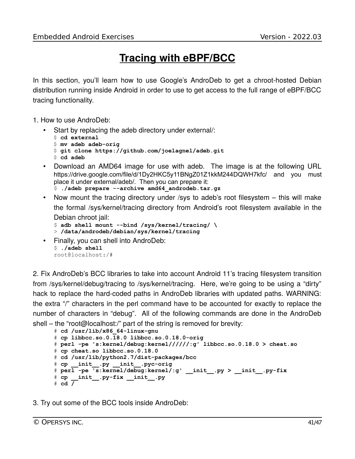### **Tracing with eBPF/BCC**

In this section, you'll learn how to use Google's AndroDeb to get a chroot-hosted Debian distribution running inside Android in order to use to get access to the full range of eBPF/BCC tracing functionality.

- 1. How to use AndroDeb:
	- Start by replacing the adeb directory under external/:

```
$ cd external
$ mv adeb adeb-orig
$ git clone https://github.com/joelagnel/adeb.git
$ cd adeb
```
- Download an AMD64 image for use with adeb. The image is at the following URL https://drive.google.com/file/d/1Dy2HKC5y11BNgZ01Z1kkM244DQWH7kfc/ and you must place it under external/adeb/. Then you can prepare it:
	- \$ **./adeb prepare --archive amd64\_androdeb.tar.gz**
- Now mount the tracing directory under /sys to adeb's root filesystem this will make the formal /sys/kernel/tracing directory from Android's root filesystem available in the Debian chroot jail:

```
$ adb shell mount --bind /sys/kernel/tracing/ \
> /data/androdeb/debian/sys/kernel/tracing
```
• Finally, you can shell into AndroDeb: \$ **./adeb shell** root@localhost:/#

2. Fix AndroDeb's BCC libraries to take into account Android 11's tracing filesystem transition from /sys/kernel/debug/tracing to /sys/kernel/tracing. Here, we're going to be using a "dirty" hack to replace the hard-coded paths in AndroDeb libraries with updated paths. WARNING: the extra "/" characters in the perl command have to be accounted for exactly to replace the number of characters in "debug". All of the following commands are done in the AndroDeb shell – the "root@localhost:/" part of the string is removed for brevity:

```
# cd /usr/lib/x86_64-linux-gnu
# cp libbcc.so.0.18.0 libbcc.so.0.18.0-orig
# perl -pe 's:kernel/debug:kernel//////:g' libbcc.so.0.18.0 > cheat.so
# cp cheat.so libbcc.so.0.18.0
# cd /usr/lib/python2.7/dist-packages/bcc
# cp __init__.py __init__.pyc-orig
# perl -pe 's:kernel/debug:kernel/:g' __init__.py > __init__.py-fix
# cp __init__.py-fix __init__.py
# cd /
```
3. Try out some of the BCC tools inside AndroDeb: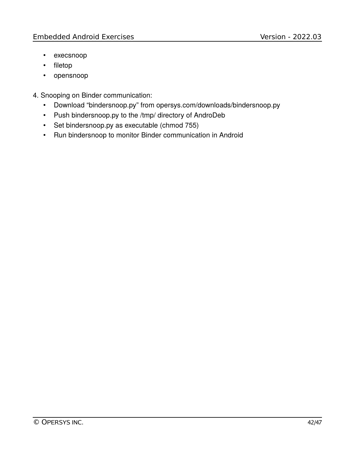- execsnoop
- filetop
- opensnoop
- 4. Snooping on Binder communication:
	- Download "bindersnoop.py" from opersys.com/downloads/bindersnoop.py
	- Push bindersnoop.py to the /tmp/ directory of AndroDeb
	- Set bindersnoop.py as executable (chmod 755)
	- Run bindersnoop to monitor Binder communication in Android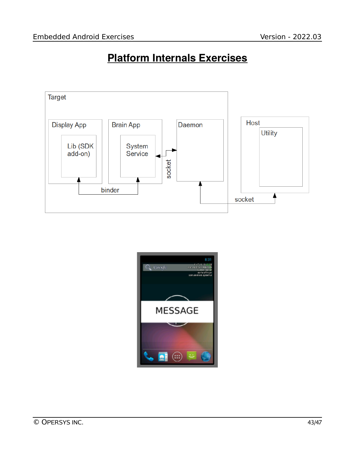### **Platform Internals Exercises**



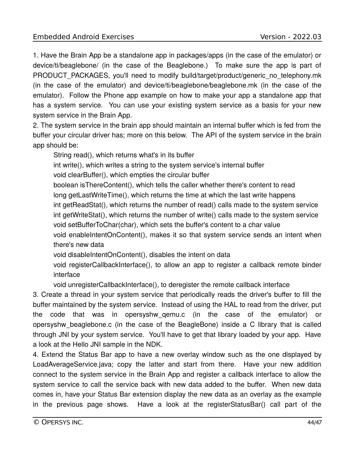1. Have the Brain App be a standalone app in packages/apps (in the case of the emulator) or device/ti/beaglebone/ (in the case of the Beaglebone.) To make sure the app is part of PRODUCT\_PACKAGES, you'll need to modify build/target/product/generic\_no\_telephony.mk (in the case of the emulator) and device/ti/beaglebone/beaglebone.mk (in the case of the emulator). Follow the Phone app example on how to make your app a standalone app that has a system service. You can use your existing system service as a basis for your new system service in the Brain App.

2. The system service in the brain app should maintain an internal buffer which is fed from the buffer your circular driver has; more on this below. The API of the system service in the brain app should be:

String read(), which returns what's in its buffer

int write(), which writes a string to the system service's internal buffer

void clearBuffer(), which empties the circular buffer

boolean isThereContent(), which tells the caller whether there's content to read long getLastWriteTime(), which returns the time at which the last write happens int getReadStat(), which returns the number of read() calls made to the system service int getWriteStat(), which returns the number of write() calls made to the system service void setBufferToChar(char), which sets the buffer's content to a char value void enableIntentOnContent(), makes it so that system service sends an intent when there's new data

void disableIntentOnContent(), disables the intent on data

void registerCallbackInterface(), to allow an app to register a callback remote binder interface

void unregisterCallbackInterface(), to deregister the remote callback interface

3. Create a thread in your system service that periodically reads the driver's buffer to fill the buffer maintained by the system service. Instead of using the HAL to read from the driver, put the code that was in opersyshw\_qemu.c (in the case of the emulator) or opersyshw\_beaglebone.c (in the case of the BeagleBone) inside a C library that is called through JNI by your system service. You'll have to get that library loaded by your app. Have a look at the Hello JNI sample in the NDK.

4. Extend the Status Bar app to have a new overlay window such as the one displayed by LoadAverageService.java; copy the latter and start from there. Have your new addition connect to the system service in the Brain App and register a callback interface to allow the system service to call the service back with new data added to the buffer. When new data comes in, have your Status Bar extension display the new data as an overlay as the example in the previous page shows. Have a look at the registerStatusBar() call part of the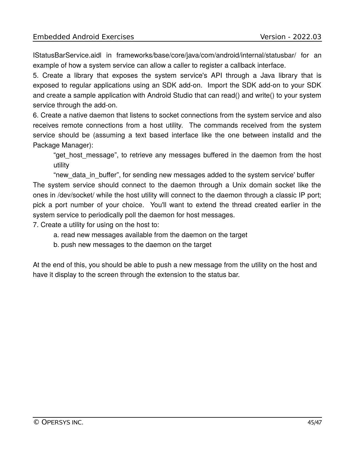IStatusBarService.aidl in frameworks/base/core/java/com/android/internal/statusbar/ for an example of how a system service can allow a caller to register a callback interface.

5. Create a library that exposes the system service's API through a Java library that is exposed to regular applications using an SDK add-on. Import the SDK add-on to your SDK and create a sample application with Android Studio that can read() and write() to your system service through the add-on.

6. Create a native daemon that listens to socket connections from the system service and also receives remote connections from a host utility. The commands received from the system service should be (assuming a text based interface like the one between installd and the Package Manager):

"get host message", to retrieve any messages buffered in the daemon from the host utility

"new data in buffer", for sending new messages added to the system service' buffer The system service should connect to the daemon through a Unix domain socket like the ones in /dev/socket/ while the host utility will connect to the daemon through a classic IP port; pick a port number of your choice. You'll want to extend the thread created earlier in the system service to periodically poll the daemon for host messages.

7. Create a utility for using on the host to:

- a. read new messages available from the daemon on the target
- b. push new messages to the daemon on the target

At the end of this, you should be able to push a new message from the utility on the host and have it display to the screen through the extension to the status bar.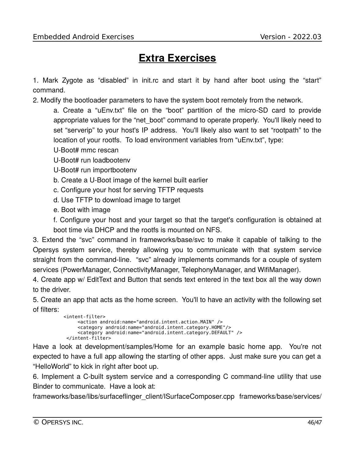### **Extra Exercises**

1. Mark Zygote as "disabled" in init.rc and start it by hand after boot using the "start" command.

2. Modify the bootloader parameters to have the system boot remotely from the network.

a. Create a "uEnv.txt" file on the "boot" partition of the micro-SD card to provide appropriate values for the "net\_boot" command to operate properly. You'll likely need to set "serverip" to your host's IP address. You'll likely also want to set "rootpath" to the location of your rootfs. To load environment variables from "uEnv.txt", type:

U-Boot# mmc rescan

U-Boot# run loadbootenv

- U-Boot# run importbootenv
- b. Create a U-Boot image of the kernel built earlier
- c. Configure your host for serving TFTP requests
- d. Use TFTP to download image to target
- e. Boot with image

f. Configure your host and your target so that the target's configuration is obtained at boot time via DHCP and the rootfs is mounted on NFS.

3. Extend the "svc" command in frameworks/base/svc to make it capable of talking to the Opersys system service, thereby allowing you to communicate with that system service straight from the command-line. "svc" already implements commands for a couple of system services (PowerManager, ConnectivityManager, TelephonyManager, and WifiManager).

4. Create app w/ EditText and Button that sends text entered in the text box all the way down to the driver.

5. Create an app that acts as the home screen. You'll to have an activity with the following set of filters:

```
 <intent-filter>
     <action android:name="android.intent.action.MAIN" />
      <category android:name="android.intent.category.HOME"/>
      <category android:name="android.intent.category.DEFAULT" />
 </intent-filter>
```
Have a look at development/samples/Home for an example basic home app. You're not expected to have a full app allowing the starting of other apps. Just make sure you can get a "HelloWorld" to kick in right after boot up.

6. Implement a C-built system service and a corresponding C command-line utility that use Binder to communicate. Have a look at:

frameworks/base/libs/surfaceflinger\_client/ISurfaceComposer.cpp frameworks/base/services/